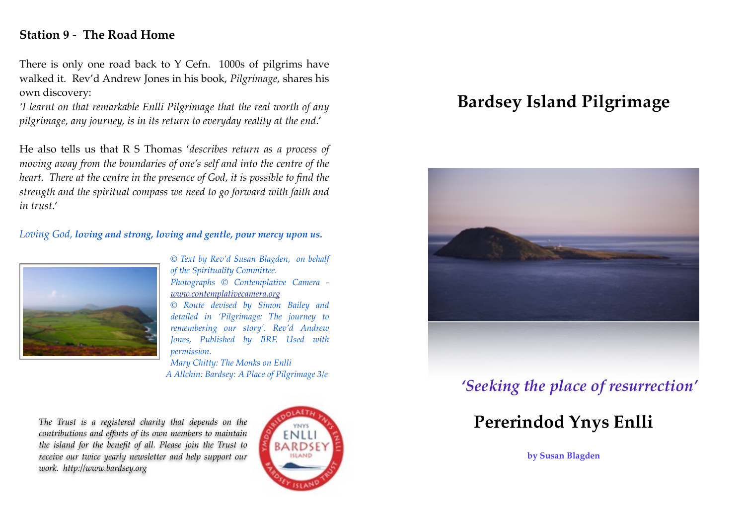### **Station 9** - **The Road Home**

There is only one road back to Y Cefn. 1000s of pilgrims have walked it. Rev'd Andrew Jones in his book, *Pilgrimage,* shares his own discovery:

*'I learnt on that remarkable Enlli Pilgrimage that the real worth of any pilgrimage, any journey, is in its return to everyday reality at the end*.'

He also tells us that R S Thomas '*describes return as a process of moving away from the boundaries of one's self and into the centre of the heart. There at the centre in the presence of God, it is possible to find the strength and the spiritual compass we need to go forward with faith and in trust*.'

#### *Loving God, loving and strong, loving and gentle, pour mercy upon us.*



*© Text by Rev'd Susan Blagden, on behalf of the Spirituality Committee. Photographs © Contemplative Camera [www.contemplativecamera.org](http://www.contemplataivecamera.org)*

*© Route devised by Simon Bailey and detailed in 'Pilgrimage: The journey to remembering our story'. Rev'd Andrew Jones, Published by BRF. Used with permission. Mary Chitty: The Monks on Enlli* 

*A Allchin: Bardsey: A Place of Pilgrimage 3/e*

*The Trust is a registered charity that depends on the contributions and efforts of its own members to maintain the island for the benefit of all. Please join the Trust to receive our twice yearly newsletter and help support our work. <http://www.bardsey.org>*



# **Bardsey Island Pilgrimage**



# *'Seeking the place of resurrection'*

# **Pererindod Ynys Enlli**

**by Susan Blagden**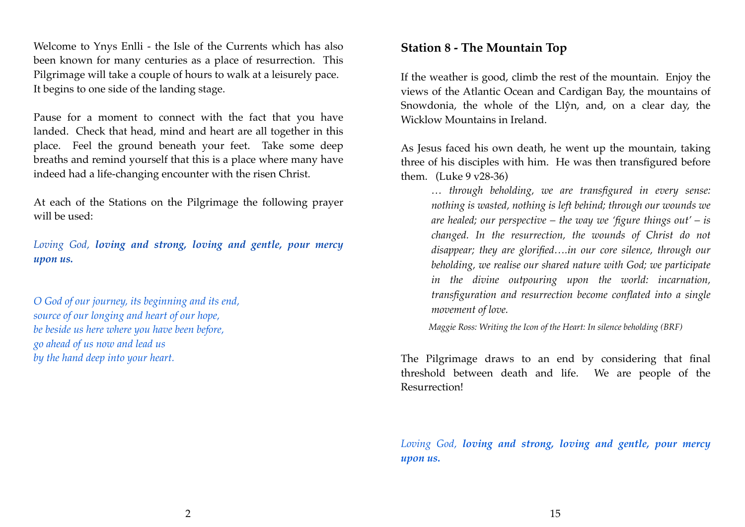Welcome to Ynys Enlli - the Isle of the Currents which has also been known for many centuries as a place of resurrection. This Pilgrimage will take a couple of hours to walk at a leisurely pace. It begins to one side of the landing stage.

Pause for a moment to connect with the fact that you have landed. Check that head, mind and heart are all together in this place. Feel the ground beneath your feet. Take some deep breaths and remind yourself that this is a place where many have indeed had a life-changing encounter with the risen Christ.

At each of the Stations on the Pilgrimage the following prayer will be used:

*Loving God, loving and strong, loving and gentle, pour mercy upon us.*

*O God of our journey, its beginning and its end, source of our longing and heart of our hope, be beside us here where you have been before, go ahead of us now and lead us by the hand deep into your heart.*

#### **Station 8 - The Mountain Top**

If the weather is good, climb the rest of the mountain. Enjoy the views of the Atlantic Ocean and Cardigan Bay, the mountains of Snowdonia, the whole of the Llŷn, and, on a clear day, the Wicklow Mountains in Ireland.

As Jesus faced his own death, he went up the mountain, taking three of his disciples with him. He was then transfigured before them. (Luke 9 v28-36)

*… through beholding, we are transfigured in every sense: nothing is wasted, nothing is left behind; through our wounds we are healed; our perspective – the way we 'figure things out' – is changed. In the resurrection, the wounds of Christ do not disappear; they are glorified….in our core silence, through our beholding, we realise our shared nature with God; we participate in the divine outpouring upon the world: incarnation, transfiguration and resurrection become conflated into a single movement of love.* 

*Maggie Ross: Writing the Icon of the Heart: In silence beholding (BRF)*

The Pilgrimage draws to an end by considering that final threshold between death and life. We are people of the Resurrection!

*Loving God, loving and strong, loving and gentle, pour mercy upon us.*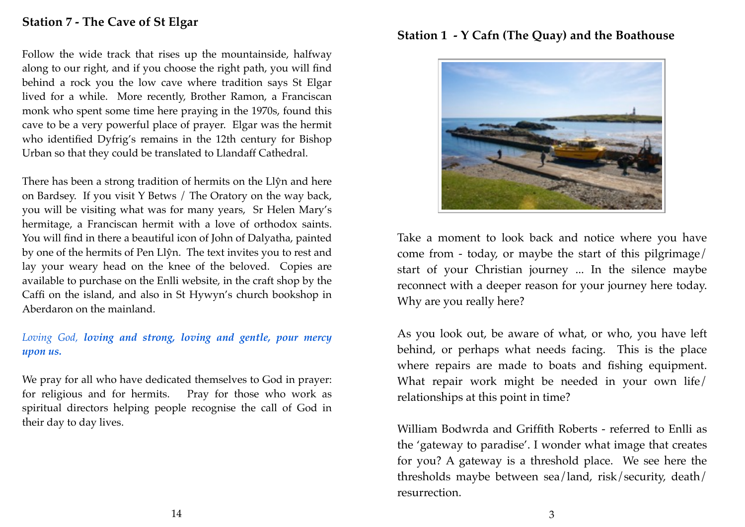### **Station 7 - The Cave of St Elgar**

Follow the wide track that rises up the mountainside, halfway along to our right, and if you choose the right path, you will find behind a rock you the low cave where tradition says St Elgar lived for a while. More recently, Brother Ramon, a Franciscan monk who spent some time here praying in the 1970s, found this cave to be a very powerful place of prayer. Elgar was the hermit who identified Dyfrig's remains in the 12th century for Bishop Urban so that they could be translated to Llandaff Cathedral.

There has been a strong tradition of hermits on the Llŷn and here on Bardsey. If you visit Y Betws / The Oratory on the way back, you will be visiting what was for many years, Sr Helen Mary's hermitage, a Franciscan hermit with a love of orthodox saints. You will find in there a beautiful icon of John of Dalyatha, painted by one of the hermits of Pen Llŷn. The text invites you to rest and lay your weary head on the knee of the beloved. Copies are available to purchase on the Enlli website, in the craft shop by the Caffi on the island, and also in St Hywyn's church bookshop in Aberdaron on the mainland.

#### *Loving God, loving and strong, loving and gentle, pour mercy upon us.*

We pray for all who have dedicated themselves to God in prayer: for religious and for hermits. Pray for those who work as spiritual directors helping people recognise the call of God in their day to day lives.

#### **Station 1 - Y Cafn (The Quay) and the Boathouse**



Take a moment to look back and notice where you have come from - today, or maybe the start of this pilgrimage/ start of your Christian journey ... In the silence maybe reconnect with a deeper reason for your journey here today. Why are you really here?

As you look out, be aware of what, or who, you have left behind, or perhaps what needs facing. This is the place where repairs are made to boats and fishing equipment. What repair work might be needed in your own life/ relationships at this point in time?

William Bodwrda and Griffith Roberts - referred to Enlli as the 'gateway to paradise'. I wonder what image that creates for you? A gateway is a threshold place. We see here the thresholds maybe between sea/land, risk/security, death/ resurrection.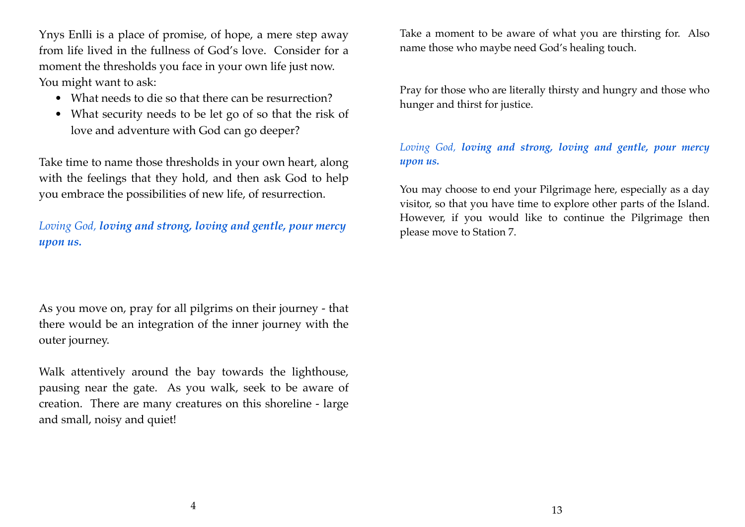Ynys Enlli is a place of promise, of hope, a mere step away from life lived in the fullness of God's love. Consider for a moment the thresholds you face in your own life just now. You might want to ask:

- What needs to die so that there can be resurrection?
- What security needs to be let go of so that the risk of love and adventure with God can go deeper?

Take time to name those thresholds in your own heart, along with the feelings that they hold, and then ask God to help you embrace the possibilities of new life, of resurrection.

*Loving God, loving and strong, loving and gentle, pour mercy upon us.*

As you move on, pray for all pilgrims on their journey - that there would be an integration of the inner journey with the outer journey.

Walk attentively around the bay towards the lighthouse, pausing near the gate. As you walk, seek to be aware of creation. There are many creatures on this shoreline - large and small, noisy and quiet!

Take a moment to be aware of what you are thirsting for. Also name those who maybe need God's healing touch.

Pray for those who are literally thirsty and hungry and those who hunger and thirst for justice.

#### *Loving God, loving and strong, loving and gentle, pour mercy upon us.*

You may choose to end your Pilgrimage here, especially as a day visitor, so that you have time to explore other parts of the Island. However, if you would like to continue the Pilgrimage then please move to Station 7.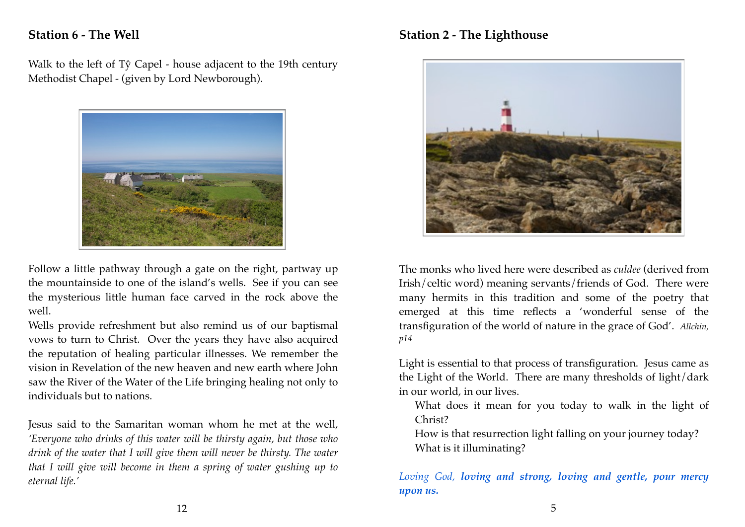## **Station 6 - The Well**

Walk to the left of Tŷ Capel - house adjacent to the 19th century Methodist Chapel - (given by Lord Newborough).



Follow a little pathway through a gate on the right, partway up the mountainside to one of the island's wells. See if you can see the mysterious little human face carved in the rock above the well.

Wells provide refreshment but also remind us of our baptismal vows to turn to Christ. Over the years they have also acquired the reputation of healing particular illnesses. We remember the vision in Revelation of the new heaven and new earth where John saw the River of the Water of the Life bringing healing not only to individuals but to nations.

Jesus said to the Samaritan woman whom he met at the well, *'Everyone who drinks of this water will be thirsty again, but those who drink of the water that I will give them will never be thirsty. The water that I will give will become in them a spring of water gushing up to eternal life.'* 

#### **Station 2 - The Lighthouse**



The monks who lived here were described as *culdee* (derived from Irish/celtic word) meaning servants/friends of God. There were many hermits in this tradition and some of the poetry that emerged at this time reflects a 'wonderful sense of the transfiguration of the world of nature in the grace of God'. *Allchin, p14*

Light is essential to that process of transfiguration. Jesus came as the Light of the World. There are many thresholds of light/dark in our world, in our lives.

What does it mean for you today to walk in the light of Christ?

How is that resurrection light falling on your journey today? What is it illuminating?

*Loving God, loving and strong, loving and gentle, pour mercy upon us.*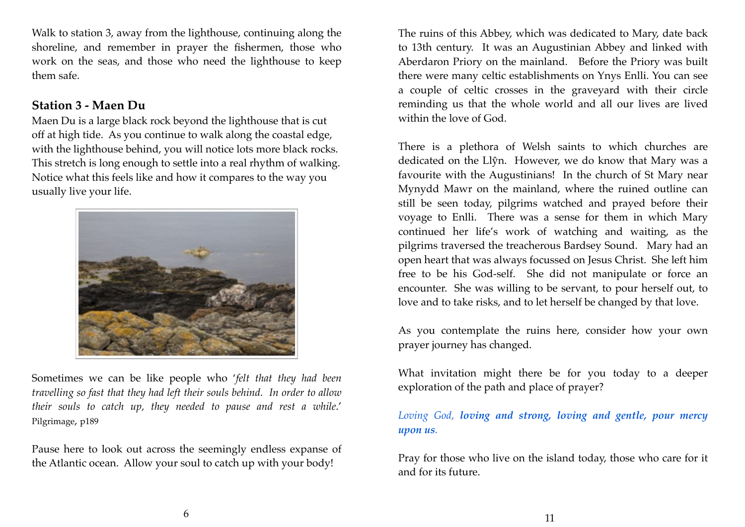Walk to station 3, away from the lighthouse, continuing along the shoreline, and remember in prayer the fishermen, those who work on the seas, and those who need the lighthouse to keep them safe.

#### **Station 3 - Maen Du**

Maen Du is a large black rock beyond the lighthouse that is cut off at high tide. As you continue to walk along the coastal edge, with the lighthouse behind, you will notice lots more black rocks. This stretch is long enough to settle into a real rhythm of walking. Notice what this feels like and how it compares to the way you usually live your life.



Sometimes we can be like people who '*felt that they had been travelling so fast that they had left their souls behind. In order to allow their souls to catch up, they needed to pause and rest a while*.' Pilgrimage, p189

Pause here to look out across the seemingly endless expanse of the Atlantic ocean. Allow your soul to catch up with your body!

The ruins of this Abbey, which was dedicated to Mary, date back to 13th century. It was an Augustinian Abbey and linked with Aberdaron Priory on the mainland. Before the Priory was built there were many celtic establishments on Ynys Enlli. You can see a couple of celtic crosses in the graveyard with their circle reminding us that the whole world and all our lives are lived within the love of God.

There is a plethora of Welsh saints to which churches are dedicated on the Llŷn. However, we do know that Mary was a favourite with the Augustinians! In the church of St Mary near Mynydd Mawr on the mainland, where the ruined outline can still be seen today, pilgrims watched and prayed before their voyage to Enlli. There was a sense for them in which Mary continued her life's work of watching and waiting, as the pilgrims traversed the treacherous Bardsey Sound. Mary had an open heart that was always focussed on Jesus Christ. She left him free to be his God-self. She did not manipulate or force an encounter. She was willing to be servant, to pour herself out, to love and to take risks, and to let herself be changed by that love.

As you contemplate the ruins here, consider how your own prayer journey has changed.

What invitation might there be for you today to a deeper exploration of the path and place of prayer?

*Loving God, loving and strong, loving and gentle, pour mercy upon us.*

Pray for those who live on the island today, those who care for it and for its future.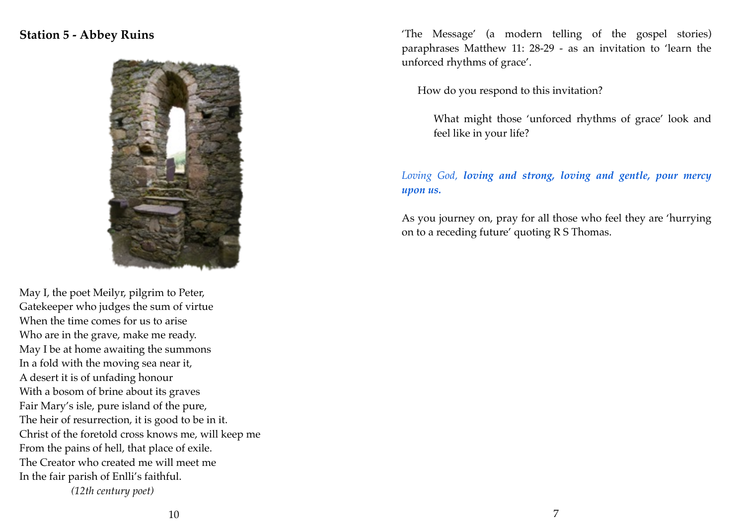### **Station 5 - Abbey Ruins**



May I, the poet Meilyr, pilgrim to Peter, Gatekeeper who judges the sum of virtue When the time comes for us to arise Who are in the grave, make me ready. May I be at home awaiting the summons In a fold with the moving sea near it, A desert it is of unfading honour With a bosom of brine about its graves Fair Mary's isle, pure island of the pure, The heir of resurrection, it is good to be in it. Christ of the foretold cross knows me, will keep me From the pains of hell, that place of exile. The Creator who created me will meet me In the fair parish of Enlli's faithful. *(12th century poet)*

'The Message' (a modern telling of the gospel stories) paraphrases Matthew 11: 28-29 - as an invitation to 'learn the unforced rhythms of grace'.

How do you respond to this invitation?

What might those 'unforced rhythms of grace' look and feel like in your life?

#### *Loving God, loving and strong, loving and gentle, pour mercy upon us.*

As you journey on, pray for all those who feel they are 'hurrying on to a receding future' quoting R S Thomas.